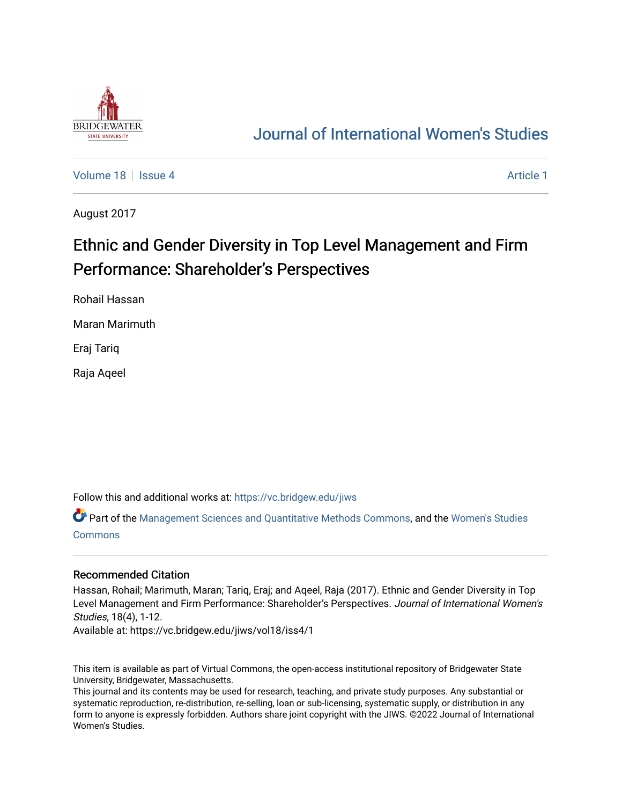

# [Journal of International Women's Studies](https://vc.bridgew.edu/jiws)

[Volume 18](https://vc.bridgew.edu/jiws/vol18) Setus 4 [Article 1](https://vc.bridgew.edu/jiws/vol18/iss4/1) Article 1 Article 1 Article 1 Article 1 Article 1 Article 1

August 2017

# Ethnic and Gender Diversity in Top Level Management and Firm Performance: Shareholder's Perspectives

Rohail Hassan

Maran Marimuth

Eraj Tariq

Raja Aqeel

Follow this and additional works at: [https://vc.bridgew.edu/jiws](https://vc.bridgew.edu/jiws?utm_source=vc.bridgew.edu%2Fjiws%2Fvol18%2Fiss4%2F1&utm_medium=PDF&utm_campaign=PDFCoverPages)

Part of the [Management Sciences and Quantitative Methods Commons](http://network.bepress.com/hgg/discipline/637?utm_source=vc.bridgew.edu%2Fjiws%2Fvol18%2Fiss4%2F1&utm_medium=PDF&utm_campaign=PDFCoverPages), and the [Women's Studies](http://network.bepress.com/hgg/discipline/561?utm_source=vc.bridgew.edu%2Fjiws%2Fvol18%2Fiss4%2F1&utm_medium=PDF&utm_campaign=PDFCoverPages)  [Commons](http://network.bepress.com/hgg/discipline/561?utm_source=vc.bridgew.edu%2Fjiws%2Fvol18%2Fiss4%2F1&utm_medium=PDF&utm_campaign=PDFCoverPages)

#### Recommended Citation

Hassan, Rohail; Marimuth, Maran; Tariq, Eraj; and Aqeel, Raja (2017). Ethnic and Gender Diversity in Top Level Management and Firm Performance: Shareholder's Perspectives. Journal of International Women's Studies, 18(4), 1-12.

Available at: https://vc.bridgew.edu/jiws/vol18/iss4/1

This item is available as part of Virtual Commons, the open-access institutional repository of Bridgewater State University, Bridgewater, Massachusetts.

This journal and its contents may be used for research, teaching, and private study purposes. Any substantial or systematic reproduction, re-distribution, re-selling, loan or sub-licensing, systematic supply, or distribution in any form to anyone is expressly forbidden. Authors share joint copyright with the JIWS. ©2022 Journal of International Women's Studies.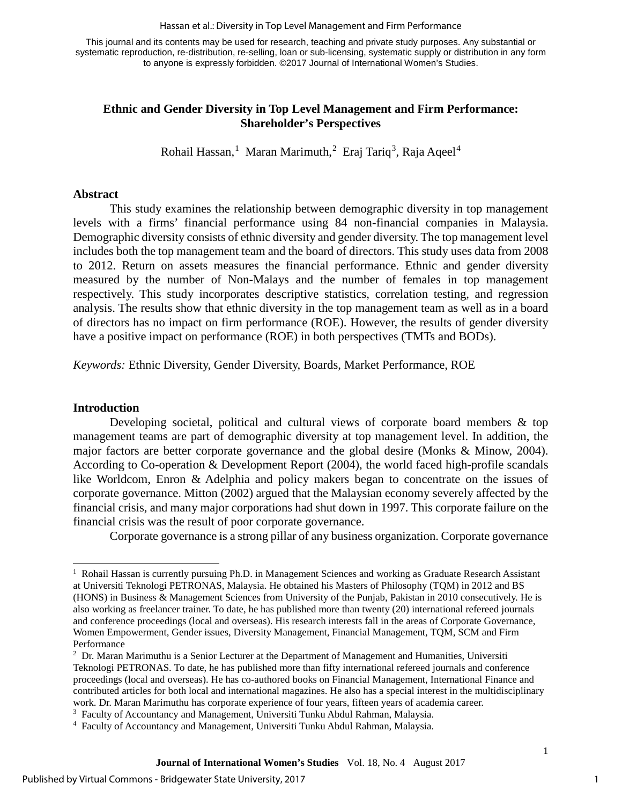Hassan et al.: Diversity in Top Level Management and Firm Performance

This journal and its contents may be used for research, teaching and private study purposes. Any substantial or systematic reproduction, re-distribution, re-selling, loan or sub-licensing, systematic supply or distribution in any form to anyone is expressly forbidden. ©2017 Journal of International Women's Studies.

## **Ethnic and Gender Diversity in Top Level Management and Firm Performance: Shareholder's Perspectives**

Rohail Hassan,<sup>[1](#page-1-0)</sup> Maran Marimuth,<sup>[2](#page-1-1)</sup> Eraj Tariq<sup>[3](#page-1-2)</sup>, Raja Aqeel<sup>[4](#page-1-3)</sup>

#### **Abstract**

This study examines the relationship between demographic diversity in top management levels with a firms' financial performance using 84 non-financial companies in Malaysia. Demographic diversity consists of ethnic diversity and gender diversity. The top management level includes both the top management team and the board of directors. This study uses data from 2008 to 2012. Return on assets measures the financial performance. Ethnic and gender diversity measured by the number of Non-Malays and the number of females in top management respectively. This study incorporates descriptive statistics, correlation testing, and regression analysis. The results show that ethnic diversity in the top management team as well as in a board of directors has no impact on firm performance (ROE). However, the results of gender diversity have a positive impact on performance (ROE) in both perspectives (TMTs and BODs).

*Keywords:* Ethnic Diversity, Gender Diversity, Boards, Market Performance, ROE

#### **Introduction**

Developing societal, political and cultural views of corporate board members  $\&$  top management teams are part of demographic diversity at top management level. In addition, the major factors are better corporate governance and the global desire [\(Monks & Minow, 2004\)](#page-11-0). According to Co-operation & Development Report (2004), the world faced high-profile scandals like Worldcom, Enron & Adelphia and policy makers began to concentrate on the issues of corporate governance. Mitton (2002) argued that the Malaysian economy severely affected by the financial crisis, and many major corporations had shut down in 1997. This corporate failure on the financial crisis was the result of poor corporate governance.

Corporate governance is a strong pillar of any business organization. Corporate governance

<span id="page-1-2"></span><sup>3</sup> Faculty of Accountancy and Management, Universiti Tunku Abdul Rahman, Malaysia.

<span id="page-1-0"></span> $\ddot{ }$ <sup>1</sup> Rohail Hassan is currently pursuing Ph.D. in Management Sciences and working as Graduate Research Assistant at Universiti Teknologi PETRONAS, Malaysia. He obtained his Masters of Philosophy (TQM) in 2012 and BS (HONS) in Business & Management Sciences from University of the Punjab, Pakistan in 2010 consecutively. He is also working as freelancer trainer. To date, he has published more than twenty (20) international refereed journals and conference proceedings (local and overseas). His research interests fall in the areas of Corporate Governance, Women Empowerment, Gender issues, Diversity Management, Financial Management, TQM, SCM and Firm Performance

<span id="page-1-1"></span> $<sup>2</sup>$  Dr. Maran Marimuthu is a Senior Lecturer at the Department of Management and Humanities, Universiti</sup> Teknologi PETRONAS. To date, he has published more than fifty international refereed journals and conference proceedings (local and overseas). He has co-authored books on Financial Management, International Finance and contributed articles for both local and international magazines. He also has a special interest in the multidisciplinary work. Dr. Maran Marimuthu has corporate experience of four years, fifteen years of academia career.

<span id="page-1-3"></span><sup>4</sup> Faculty of Accountancy and Management, Universiti Tunku Abdul Rahman, Malaysia.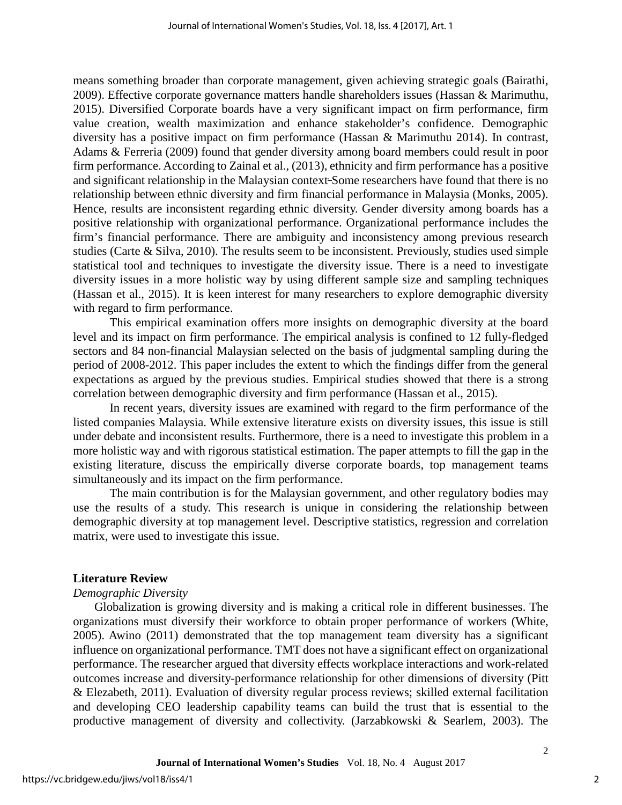means something broader than corporate management, given achieving strategic goals [\(Bairathi,](#page-11-0) [2009\)](#page-11-0). Effective corporate governance matters handle shareholders issues (Hassan & Marimuthu, 2015). Diversified Corporate boards have a very significant impact on firm performance, firm value creation, wealth maximization and enhance stakeholder's confidence. Demographic diversity has a positive impact on firm performance (Hassan & Marimuthu 2014). In contrast, Adams & Ferreria (2009) found that gender diversity among board members could result in poor firm performance. According to Zainal et al., (2013), ethnicity and firm performance has a positive and significant relationship in the Malaysian context-Some researchers have found that there is no relationship between ethnic diversity and firm financial performance in Malaysia (Monks, 2005). Hence, results are inconsistent regarding ethnic diversity. Gender diversity among boards has a positive relationship with organizational performance. Organizational performance includes the firm's financial performance. There are ambiguity and inconsistency among previous research studies (Carte & Silva, 2010). The results seem to be inconsistent. Previously, studies used simple statistical tool and techniques to investigate the diversity issue. There is a need to investigate diversity issues in a more holistic way by using different sample size and sampling techniques (Hassan et al., 2015). It is keen interest for many researchers to explore demographic diversity with regard to firm performance.

This empirical examination offers more insights on demographic diversity at the board level and its impact on firm performance. The empirical analysis is confined to 12 fully-fledged sectors and 84 non-financial Malaysian selected on the basis of judgmental sampling during the period of 2008-2012. This paper includes the extent to which the findings differ from the general expectations as argued by the previous studies. Empirical studies showed that there is a strong correlation between demographic diversity and firm performance (Hassan et al., 2015).

In recent years, diversity issues are examined with regard to the firm performance of the listed companies Malaysia. While extensive literature exists on diversity issues, this issue is still under debate and inconsistent results. Furthermore, there is a need to investigate this problem in a more holistic way and with rigorous statistical estimation. The paper attempts to fill the gap in the existing literature, discuss the empirically diverse corporate boards, top management teams simultaneously and its impact on the firm performance.

The main contribution is for the Malaysian government, and other regulatory bodies may use the results of a study. This research is unique in considering the relationship between demographic diversity at top management level. Descriptive statistics, regression and correlation matrix, were used to investigate this issue.

#### **Literature Review**

#### *Demographic Diversity*

Globalization is growing diversity and is making a critical role in different businesses. The organizations must diversify their workforce to obtain proper performance of workers (White, 2005). Awino (2011) demonstrated that the top management team diversity has a significant influence on organizational performance. TMT does not have a significant effect on organizational performance. The researcher argued that diversity effects workplace interactions and work-related outcomes increase and diversity-performance relationship for other dimensions of diversity (Pitt & Elezabeth, 2011). Evaluation of diversity regular process reviews; skilled external facilitation and developing CEO leadership capability teams can build the trust that is essential to the productive management of diversity and collectivity. (Jarzabkowski & Searlem, 2003). The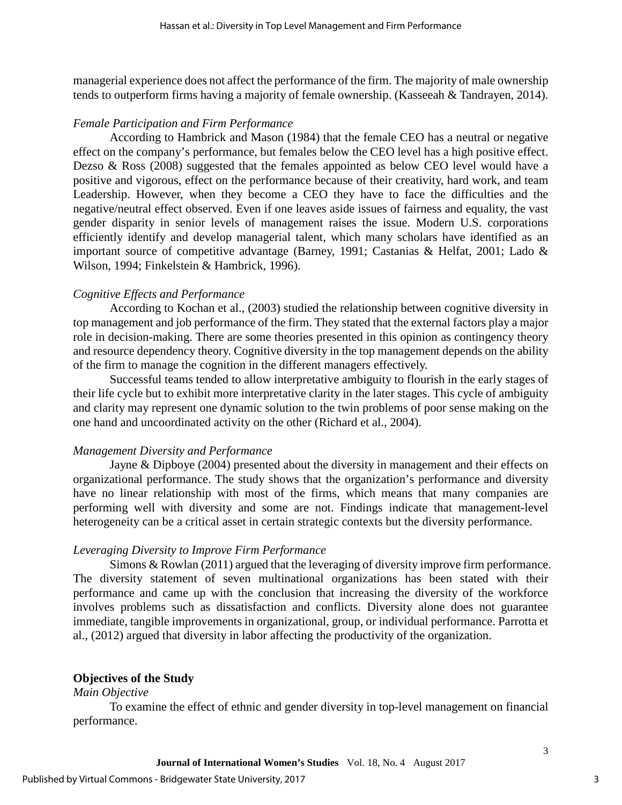managerial experience does not affect the performance of the firm. The majority of male ownership tends to outperform firms having a majority of female ownership. (Kasseeah & Tandrayen, 2014).

#### *Female Participation and Firm Performance*

According to Hambrick and Mason (1984) that the female CEO has a neutral or negative effect on the company's performance, but females below the CEO level has a high positive effect. Dezso & Ross (2008) suggested that the females appointed as below CEO level would have a positive and vigorous, effect on the performance because of their creativity, hard work, and team Leadership. However, when they become a CEO they have to face the difficulties and the negative/neutral effect observed. Even if one leaves aside issues of fairness and equality, the vast gender disparity in senior levels of management raises the issue. Modern U.S. corporations efficiently identify and develop managerial talent, which many scholars have identified as an important source of competitive advantage (Barney, 1991; Castanias & Helfat, 2001; Lado & Wilson, 1994; Finkelstein & Hambrick, 1996).

#### *Cognitive Effects and Performance*

According to Kochan et al., (2003) studied the relationship between cognitive diversity in top management and job performance of the firm. They stated that the external factors play a major role in decision-making. There are some theories presented in this opinion as contingency theory and resource dependency theory. Cognitive diversity in the top management depends on the ability of the firm to manage the cognition in the different managers effectively.

Successful teams tended to allow interpretative ambiguity to flourish in the early stages of their life cycle but to exhibit more interpretative clarity in the later stages. This cycle of ambiguity and clarity may represent one dynamic solution to the twin problems of poor sense making on the one hand and uncoordinated activity on the other (Richard et al., 2004).

#### *Management Diversity and Performance*

Jayne & Dipboye (2004) presented about the diversity in management and their effects on organizational performance. The study shows that the organization's performance and diversity have no linear relationship with most of the firms, which means that many companies are performing well with diversity and some are not. Findings indicate that management-level heterogeneity can be a critical asset in certain strategic contexts but the diversity performance.

#### *Leveraging Diversity to Improve Firm Performance*

Simons & Rowlan (2011) argued that the leveraging of diversity improve firm performance. The diversity statement of seven multinational organizations has been stated with their performance and came up with the conclusion that increasing the diversity of the workforce involves problems such as dissatisfaction and conflicts. Diversity alone does not guarantee immediate, tangible improvements in organizational, group, or individual performance. Parrotta et al., (2012) argued that diversity in labor affecting the productivity of the organization.

#### **Objectives of the Study**

#### *Main Objective*

To examine the effect of ethnic and gender diversity in top-level management on financial performance.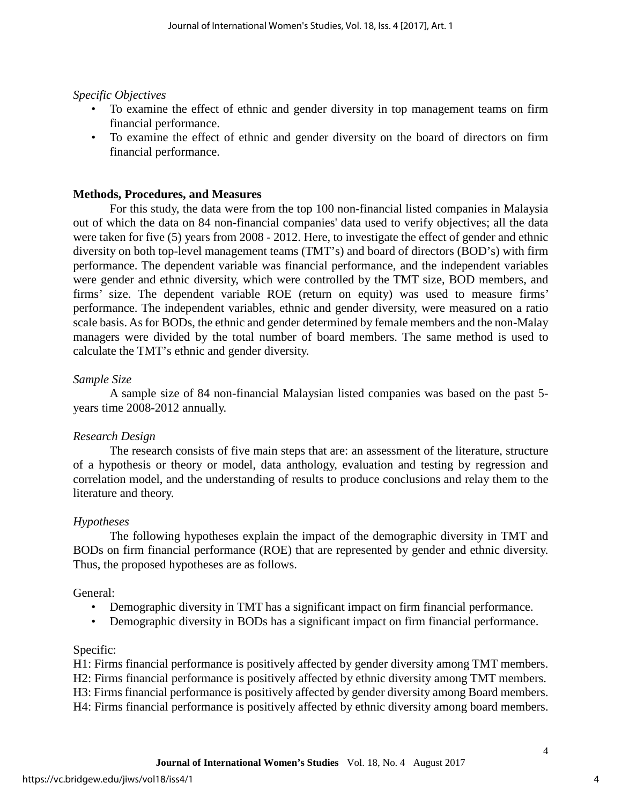*Specific Objectives*

- To examine the effect of ethnic and gender diversity in top management teams on firm financial performance.
- To examine the effect of ethnic and gender diversity on the board of directors on firm financial performance.

### **Methods, Procedures, and Measures**

For this study, the data were from the top 100 non-financial listed companies in Malaysia out of which the data on 84 non-financial companies' data used to verify objectives; all the data were taken for five (5) years from 2008 - 2012. Here, to investigate the effect of gender and ethnic diversity on both top-level management teams (TMT's) and board of directors (BOD's) with firm performance. The dependent variable was financial performance, and the independent variables were gender and ethnic diversity, which were controlled by the TMT size, BOD members, and firms' size. The dependent variable ROE (return on equity) was used to measure firms' performance. The independent variables, ethnic and gender diversity, were measured on a ratio scale basis. As for BODs, the ethnic and gender determined by female members and the non-Malay managers were divided by the total number of board members. The same method is used to calculate the TMT's ethnic and gender diversity.

### *Sample Size*

A sample size of 84 non-financial Malaysian listed companies was based on the past 5 years time 2008-2012 annually.

## *Research Design*

The research consists of five main steps that are: an assessment of the literature, structure of a hypothesis or theory or model, data anthology, evaluation and testing by regression and correlation model, and the understanding of results to produce conclusions and relay them to the literature and theory.

## *Hypotheses*

The following hypotheses explain the impact of the demographic diversity in TMT and BODs on firm financial performance (ROE) that are represented by gender and ethnic diversity. Thus, the proposed hypotheses are as follows.

## General:

- Demographic diversity in TMT has a significant impact on firm financial performance.
- Demographic diversity in BODs has a significant impact on firm financial performance.

## Specific:

H1: Firms financial performance is positively affected by gender diversity among TMT members. H2: Firms financial performance is positively affected by ethnic diversity among TMT members. H3: Firms financial performance is positively affected by gender diversity among Board members. H4: Firms financial performance is positively affected by ethnic diversity among board members.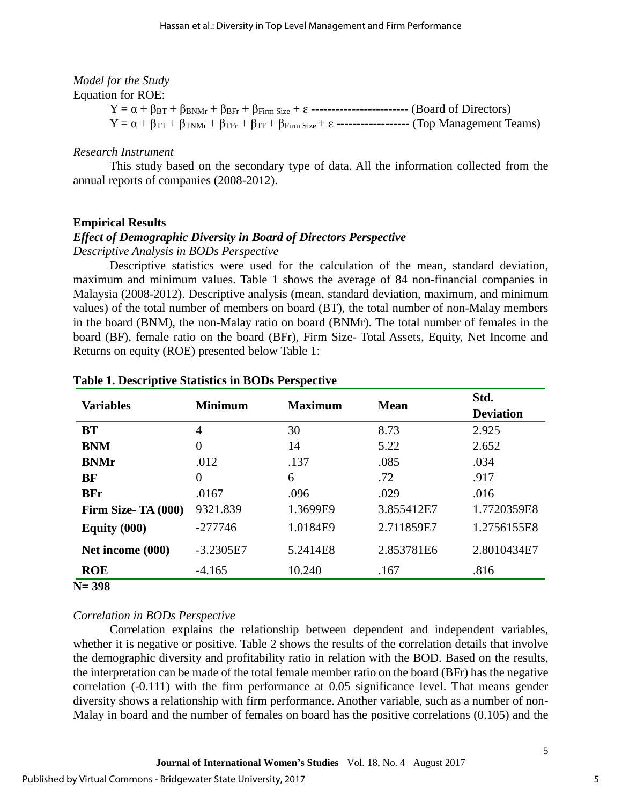# *Model for the Study*

Equation for ROE:

 $Y = \alpha + \beta_{BT} + \beta_{BNMr} + \beta_{BFr} + \beta_{Firm Size} + \epsilon$  ------------------------------ (Board of Directors)  $Y = \alpha + \beta_{TT} + \beta_{TNMr} + \beta_{TFr} + \beta_{TFr} + \beta_{Firm \, Size} + \epsilon$  -------------------- (Top Management Teams)

## *Research Instrument*

This study based on the secondary type of data. All the information collected from the annual reports of companies (2008-2012).

# **Empirical Results**

## *Effect of Demographic Diversity in Board of Directors Perspective*

*Descriptive Analysis in BODs Perspective*

Descriptive statistics were used for the calculation of the mean, standard deviation, maximum and minimum values. Table 1 shows the average of 84 non-financial companies in Malaysia (2008-2012). Descriptive analysis (mean, standard deviation, maximum, and minimum values) of the total number of members on board (BT), the total number of non-Malay members in the board (BNM), the non-Malay ratio on board (BNMr). The total number of females in the board (BF), female ratio on the board (BFr), Firm Size- Total Assets, Equity, Net Income and Returns on equity (ROE) presented below Table 1:

| <b>Variables</b>    | <b>Minimum</b> | <b>Maximum</b> | <b>Mean</b> | Std.             |
|---------------------|----------------|----------------|-------------|------------------|
|                     |                |                |             | <b>Deviation</b> |
| <b>BT</b>           | $\overline{4}$ | 30             | 8.73        | 2.925            |
| <b>BNM</b>          | $\overline{0}$ | 14             | 5.22        | 2.652            |
| <b>BNMr</b>         | .012           | .137           | .085        | .034             |
| <b>BF</b>           | $\overline{0}$ | 6              | .72         | .917             |
| <b>BFr</b>          | .0167          | .096           | .029        | .016             |
| Firm Size- TA (000) | 9321.839       | 1.3699E9       | 3.855412E7  | 1.7720359E8      |
| Equity $(000)$      | $-277746$      | 1.0184E9       | 2.711859E7  | 1.2756155E8      |
| Net income (000)    | $-3.2305E7$    | 5.2414E8       | 2.853781E6  | 2.8010434E7      |
| <b>ROE</b>          | $-4.165$       | 10.240         | .167        | .816             |
| $N = 398$           |                |                |             |                  |

### **Table 1. Descriptive Statistics in BODs Perspective**

# *Correlation in BODs Perspective*

Correlation explains the relationship between dependent and independent variables, whether it is negative or positive. Table 2 shows the results of the correlation details that involve the demographic diversity and profitability ratio in relation with the BOD. Based on the results, the interpretation can be made of the total female member ratio on the board (BFr) has the negative correlation (-0.111) with the firm performance at 0.05 significance level. That means gender diversity shows a relationship with firm performance. Another variable, such as a number of non-Malay in board and the number of females on board has the positive correlations (0.105) and the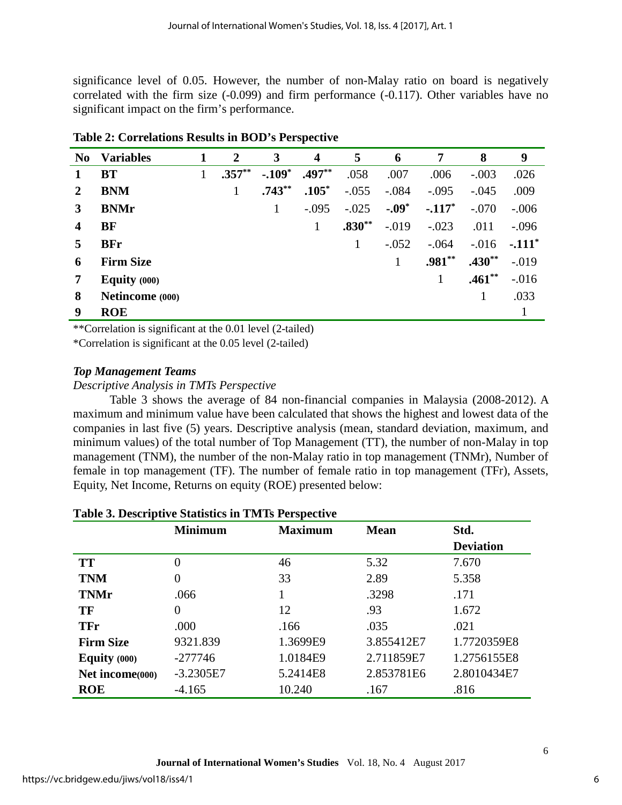significance level of 0.05. However, the number of non-Malay ratio on board is negatively correlated with the firm size (-0.099) and firm performance (-0.117). Other variables have no significant impact on the firm's performance.

| No | <b>Variables</b> | 1 | $\mathbf 2$ | 3         | $\overline{\mathbf{4}}$ | 5        | 6       | 7        | 8        | 9        |
|----|------------------|---|-------------|-----------|-------------------------|----------|---------|----------|----------|----------|
|    | <b>BT</b>        |   | $.357**$    | $-.109*$  | $.497**$                | .058     | .007    | .006     | $-.003$  | .026     |
| 2  | <b>BNM</b>       |   | 1           | $.743***$ | $.105*$                 | $-.055$  | $-.084$ | $-.095$  | $-.045$  | .009     |
| 3  | <b>BNMr</b>      |   |             | 1         | $-.095$                 | $-.025$  | $-.09*$ | $-117*$  | $-.070$  | $-.006$  |
| 4  | <b>BF</b>        |   |             |           | 1                       | $.830**$ | $-.019$ | $-.023$  | .011     | $-.096$  |
| 5  | <b>BFr</b>       |   |             |           |                         | 1        | $-.052$ | $-.064$  | $-.016$  | $-.111*$ |
| 6  | <b>Firm Size</b> |   |             |           |                         |          | 1       | $.981**$ | $.430**$ | $-.019$  |
| 7  | Equity $(000)$   |   |             |           |                         |          |         |          | $.461**$ | $-0.016$ |
| 8  | Netincome (000)  |   |             |           |                         |          |         |          | 1        | .033     |
| 9  | <b>ROE</b>       |   |             |           |                         |          |         |          |          |          |

**Table 2: Correlations Results in BOD's Perspective**

\*\*Correlation is significant at the 0.01 level (2-tailed)

\*Correlation is significant at the 0.05 level (2-tailed)

## *Top Management Teams*

### *Descriptive Analysis in TMTs Perspective*

Table 3 shows the average of 84 non-financial companies in Malaysia (2008-2012). A maximum and minimum value have been calculated that shows the highest and lowest data of the companies in last five (5) years. Descriptive analysis (mean, standard deviation, maximum, and minimum values) of the total number of Top Management (TT), the number of non-Malay in top management (TNM), the number of the non-Malay ratio in top management (TNMr), Number of female in top management (TF). The number of female ratio in top management (TFr), Assets, Equity, Net Income, Returns on equity (ROE) presented below:

|                  | <b>Minimum</b> | <b>Maximum</b> | <b>Mean</b> | Std.             |
|------------------|----------------|----------------|-------------|------------------|
|                  |                |                |             | <b>Deviation</b> |
| <b>TT</b>        | 0              | 46             | 5.32        | 7.670            |
| <b>TNM</b>       | 0              | 33             | 2.89        | 5.358            |
| <b>TNMr</b>      | .066           |                | .3298       | .171             |
| TF               | 0              | 12             | .93         | 1.672            |
| <b>TFr</b>       | .000           | .166           | .035        | .021             |
| <b>Firm Size</b> | 9321.839       | 1.3699E9       | 3.855412E7  | 1.7720359E8      |
| Equity $(000)$   | $-277746$      | 1.0184E9       | 2.711859E7  | 1.2756155E8      |
| Net income(000)  | $-3.2305E7$    | 5.2414E8       | 2.853781E6  | 2.8010434E7      |
| <b>ROE</b>       | $-4.165$       | 10.240         | .167        | .816             |

## **Table 3. Descriptive Statistics in TMTs Perspective**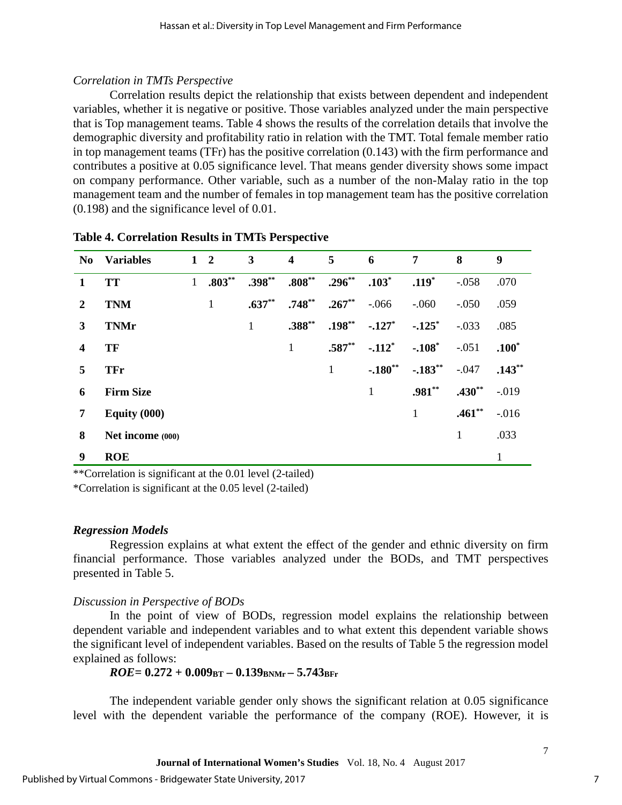# *Correlation in TMTs Perspective*

Correlation results depict the relationship that exists between dependent and independent variables, whether it is negative or positive. Those variables analyzed under the main perspective that is Top management teams. Table 4 shows the results of the correlation details that involve the demographic diversity and profitability ratio in relation with the TMT. Total female member ratio in top management teams (TFr) has the positive correlation (0.143) with the firm performance and contributes a positive at 0.05 significance level. That means gender diversity shows some impact on company performance. Other variable, such as a number of the non-Malay ratio in the top management team and the number of females in top management team has the positive correlation (0.198) and the significance level of 0.01.

| N <sub>0</sub>   | <b>Variables</b> |              | $1\quad 2$   | $\mathbf{3}$ | $\overline{\mathbf{4}}$ | 5         | 6                    | 7         | 8        | 9            |
|------------------|------------------|--------------|--------------|--------------|-------------------------|-----------|----------------------|-----------|----------|--------------|
| 1                | <b>TT</b>        | $\mathbf{1}$ | $.803**$     | $.398***$    | $.808**$                | $.296***$ | $.103*$              | $.119*$   | $-.058$  | .070         |
| 2                | <b>TNM</b>       |              | $\mathbf{1}$ | $.637**$     | $.748**$                | $.267**$  | $-.066$              | $-.060$   | $-.050$  | .059         |
| 3                | <b>TNMr</b>      |              |              | 1            | $.388***$               | $.198***$ | $-.127$ <sup>*</sup> | $-.125$ * | $-.033$  | .085         |
| $\boldsymbol{4}$ | TF               |              |              |              | 1                       | $.587**$  | $-.112$ <sup>*</sup> | $-.108*$  | $-.051$  | $.100*$      |
| 5                | <b>TFr</b>       |              |              |              |                         | 1         | $-.180**$            | $-.183**$ | $-.047$  | $.143**$     |
| 6                | <b>Firm Size</b> |              |              |              |                         |           | 1                    | $.981**$  | $.430**$ | $-0.019$     |
| 7                | Equity $(000)$   |              |              |              |                         |           |                      | 1         | $.461**$ | $-.016$      |
| 8                | Net income (000) |              |              |              |                         |           |                      |           | 1        | .033         |
| 9                | <b>ROE</b>       |              |              |              |                         |           |                      |           |          | $\mathbf{1}$ |

**Table 4. Correlation Results in TMTs Perspective**

\*\*Correlation is significant at the 0.01 level (2-tailed)

\*Correlation is significant at the 0.05 level (2-tailed)

## *Regression Models*

Regression explains at what extent the effect of the gender and ethnic diversity on firm financial performance. Those variables analyzed under the BODs, and TMT perspectives presented in Table 5.

## *Discussion in Perspective of BODs*

In the point of view of BODs, regression model explains the relationship between dependent variable and independent variables and to what extent this dependent variable shows the significant level of independent variables. Based on the results of Table 5 the regression model explained as follows:

## *ROE=* **0.272 + 0.009BT – 0.139BNMr – 5.743BFr**

The independent variable gender only shows the significant relation at 0.05 significance level with the dependent variable the performance of the company (ROE). However, it is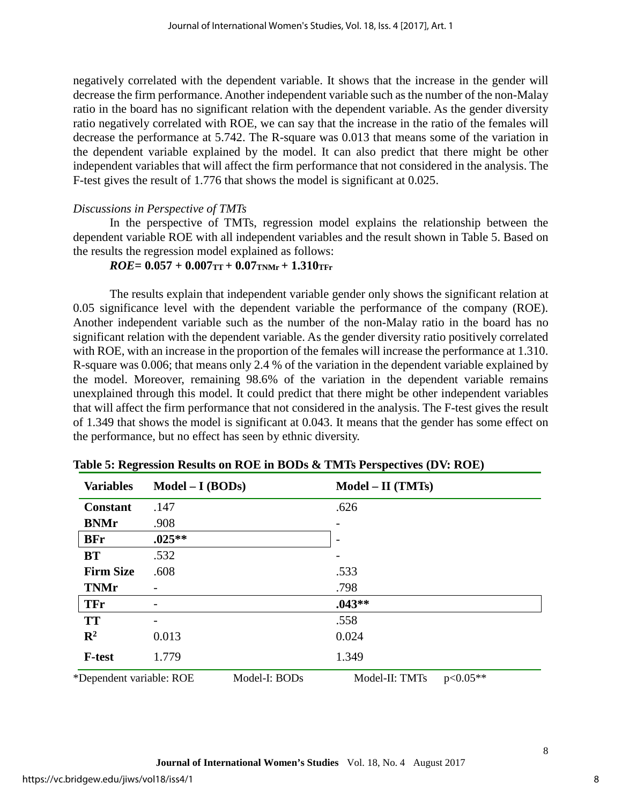negatively correlated with the dependent variable. It shows that the increase in the gender will decrease the firm performance. Another independent variable such as the number of the non-Malay ratio in the board has no significant relation with the dependent variable. As the gender diversity ratio negatively correlated with ROE, we can say that the increase in the ratio of the females will decrease the performance at 5.742. The R-square was 0.013 that means some of the variation in the dependent variable explained by the model. It can also predict that there might be other independent variables that will affect the firm performance that not considered in the analysis. The F-test gives the result of 1.776 that shows the model is significant at 0.025.

### *Discussions in Perspective of TMTs*

In the perspective of TMTs, regression model explains the relationship between the dependent variable ROE with all independent variables and the result shown in Table 5. Based on the results the regression model explained as follows:

## $ROE = 0.057 + 0.007$ TT +  $0.07$ TNMr +  $1.310$ TFr

The results explain that independent variable gender only shows the significant relation at 0.05 significance level with the dependent variable the performance of the company (ROE). Another independent variable such as the number of the non-Malay ratio in the board has no significant relation with the dependent variable. As the gender diversity ratio positively correlated with ROE, with an increase in the proportion of the females will increase the performance at 1.310. R-square was 0.006; that means only 2.4 % of the variation in the dependent variable explained by the model. Moreover, remaining 98.6% of the variation in the dependent variable remains unexplained through this model. It could predict that there might be other independent variables that will affect the firm performance that not considered in the analysis. The F-test gives the result of 1.349 that shows the model is significant at 0.043. It means that the gender has some effect on the performance, but no effect has seen by ethnic diversity.

| <b>Variables</b>         | $Model - I (BODs)$ |               | $Model - II (TMTs)$ |            |
|--------------------------|--------------------|---------------|---------------------|------------|
| <b>Constant</b>          | .147               |               | .626                |            |
| <b>BNMr</b>              | .908               |               |                     |            |
| <b>BFr</b>               | $.025**$           |               |                     |            |
| <b>BT</b>                | .532               |               |                     |            |
| <b>Firm Size</b>         | .608               |               | .533                |            |
| <b>TNMr</b>              |                    |               | .798                |            |
| <b>TFr</b>               |                    |               | $.043**$            |            |
| <b>TT</b>                | -                  |               | .558                |            |
| $\mathbf{R}^2$           | 0.013              |               | 0.024               |            |
| <b>F-test</b>            | 1.779              |               | 1.349               |            |
| *Dependent variable: ROE |                    | Model-I: BODs | Model-II: TMTs      | $p<0.05**$ |

**Table 5: Regression Results on ROE in BODs & TMTs Perspectives (DV: ROE)**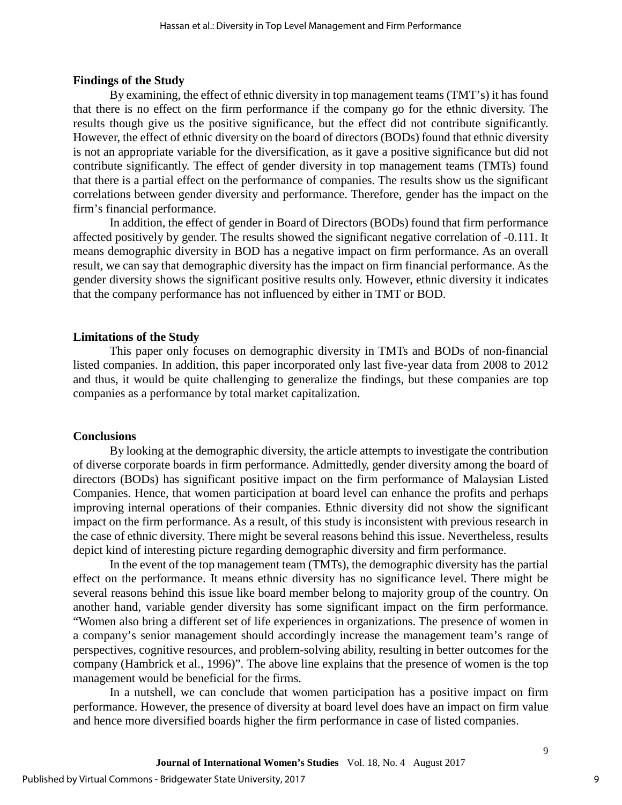#### **Findings of the Study**

By examining, the effect of ethnic diversity in top management teams (TMT's) it has found that there is no effect on the firm performance if the company go for the ethnic diversity. The results though give us the positive significance, but the effect did not contribute significantly. However, the effect of ethnic diversity on the board of directors (BODs) found that ethnic diversity is not an appropriate variable for the diversification, as it gave a positive significance but did not contribute significantly. The effect of gender diversity in top management teams (TMTs) found that there is a partial effect on the performance of companies. The results show us the significant correlations between gender diversity and performance. Therefore, gender has the impact on the firm's financial performance.

In addition, the effect of gender in Board of Directors (BODs) found that firm performance affected positively by gender. The results showed the significant negative correlation of -0.111. It means demographic diversity in BOD has a negative impact on firm performance. As an overall result, we can say that demographic diversity has the impact on firm financial performance. As the gender diversity shows the significant positive results only. However, ethnic diversity it indicates that the company performance has not influenced by either in TMT or BOD.

#### **Limitations of the Study**

This paper only focuses on demographic diversity in TMTs and BODs of non-financial listed companies. In addition, this paper incorporated only last five-year data from 2008 to 2012 and thus, it would be quite challenging to generalize the findings, but these companies are top companies as a performance by total market capitalization.

#### **Conclusions**

By looking at the demographic diversity, the article attempts to investigate the contribution of diverse corporate boards in firm performance. Admittedly, gender diversity among the board of directors (BODs) has significant positive impact on the firm performance of Malaysian Listed Companies. Hence, that women participation at board level can enhance the profits and perhaps improving internal operations of their companies. Ethnic diversity did not show the significant impact on the firm performance. As a result, of this study is inconsistent with previous research in the case of ethnic diversity. There might be several reasons behind this issue. Nevertheless, results depict kind of interesting picture regarding demographic diversity and firm performance.

In the event of the top management team (TMTs), the demographic diversity has the partial effect on the performance. It means ethnic diversity has no significance level. There might be several reasons behind this issue like board member belong to majority group of the country. On another hand, variable gender diversity has some significant impact on the firm performance. "Women also bring a different set of life experiences in organizations. The presence of women in a company's senior management should accordingly increase the management team's range of perspectives, cognitive resources, and problem-solving ability, resulting in better outcomes for the company (Hambrick et al., 1996)". The above line explains that the presence of women is the top management would be beneficial for the firms.

In a nutshell, we can conclude that women participation has a positive impact on firm performance. However, the presence of diversity at board level does have an impact on firm value and hence more diversified boards higher the firm performance in case of listed companies.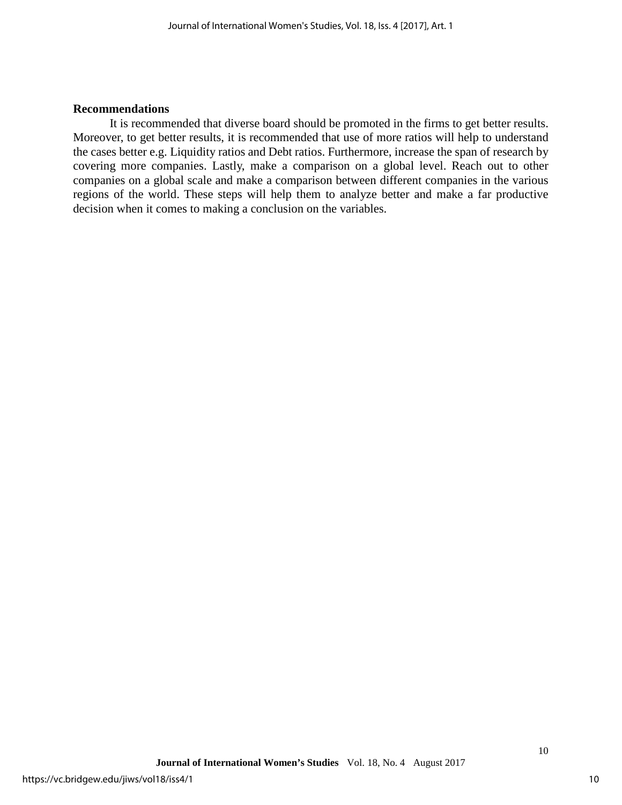#### **Recommendations**

It is recommended that diverse board should be promoted in the firms to get better results. Moreover, to get better results, it is recommended that use of more ratios will help to understand the cases better e.g. Liquidity ratios and Debt ratios. Furthermore, increase the span of research by covering more companies. Lastly, make a comparison on a global level. Reach out to other companies on a global scale and make a comparison between different companies in the various regions of the world. These steps will help them to analyze better and make a far productive decision when it comes to making a conclusion on the variables.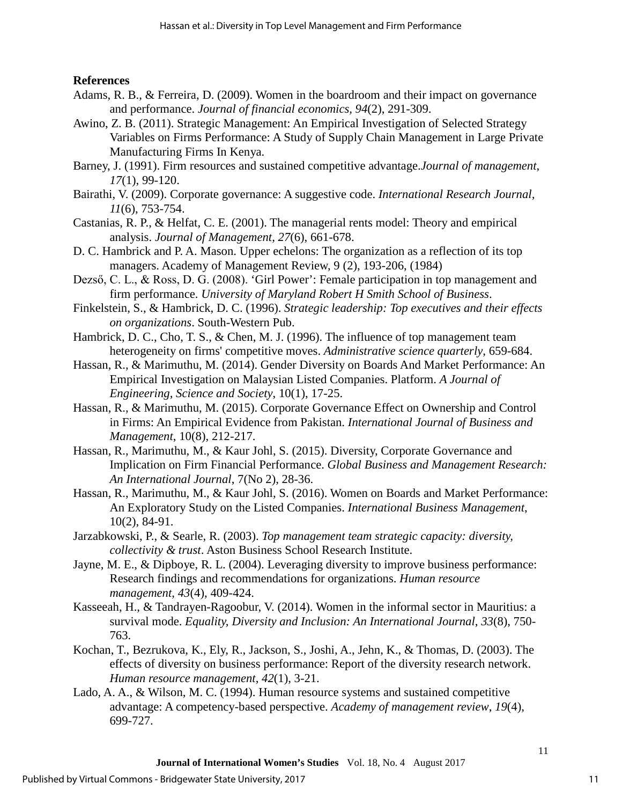## **References**

- <span id="page-11-0"></span>Adams, R. B., & Ferreira, D. (2009). Women in the boardroom and their impact on governance and performance. *Journal of financial economics, 94*(2), 291-309.
- Awino, Z. B. (2011). Strategic Management: An Empirical Investigation of Selected Strategy Variables on Firms Performance: A Study of Supply Chain Management in Large Private Manufacturing Firms In Kenya.
- Barney, J. (1991). Firm resources and sustained competitive advantage.*Journal of management*, *17*(1), 99-120.
- Bairathi, V. (2009). Corporate governance: A suggestive code. *International Research Journal, 11*(6), 753-754.
- Castanias, R. P., & Helfat, C. E. (2001). The managerial rents model: Theory and empirical analysis. *Journal of Management*, *27*(6), 661-678.
- D. C. Hambrick and P. A. Mason. Upper echelons: The organization as a reflection of its top managers. Academy of Management Review, 9 (2), 193-206, (1984)
- Dezső, C. L., & Ross, D. G. (2008). 'Girl Power': Female participation in top management and firm performance. *University of Maryland Robert H Smith School of Business*.
- Finkelstein, S., & Hambrick, D. C. (1996). *Strategic leadership: Top executives and their effects on organizations*. South-Western Pub.
- Hambrick, D. C., Cho, T. S., & Chen, M. J. (1996). The influence of top management team heterogeneity on firms' competitive moves. *Administrative science quarterly*, 659-684.
- Hassan, R., & Marimuthu, M. (2014). Gender Diversity on Boards And Market Performance: An Empirical Investigation on Malaysian Listed Companies. Platform. *A Journal of Engineering, Science and Society*, 10(1), 17-25.
- Hassan, R., & Marimuthu, M. (2015). Corporate Governance Effect on Ownership and Control in Firms: An Empirical Evidence from Pakistan. *International Journal of Business and Management*, 10(8), 212-217.
- Hassan, R., Marimuthu, M., & Kaur Johl, S. (2015). Diversity, Corporate Governance and Implication on Firm Financial Performance. *Global Business and Management Research: An International Journal*, 7(No 2), 28-36.
- Hassan, R., Marimuthu, M., & Kaur Johl, S. (2016). Women on Boards and Market Performance: An Exploratory Study on the Listed Companies. *International Business Management*, 10(2), 84-91.
- Jarzabkowski, P., & Searle, R. (2003). *Top management team strategic capacity: diversity, collectivity & trust*. Aston Business School Research Institute.
- Jayne, M. E., & Dipboye, R. L. (2004). Leveraging diversity to improve business performance: Research findings and recommendations for organizations. *Human resource management*, *43*(4), 409-424.
- Kasseeah, H., & Tandrayen-Ragoobur, V. (2014). Women in the informal sector in Mauritius: a survival mode. *Equality, Diversity and Inclusion: An International Journal*, *33*(8), 750- 763.
- Kochan, T., Bezrukova, K., Ely, R., Jackson, S., Joshi, A., Jehn, K., & Thomas, D. (2003). The effects of diversity on business performance: Report of the diversity research network. *Human resource management*, *42*(1), 3-21.
- Lado, A. A., & Wilson, M. C. (1994). Human resource systems and sustained competitive advantage: A competency-based perspective. *Academy of management review*, *19*(4), 699-727.